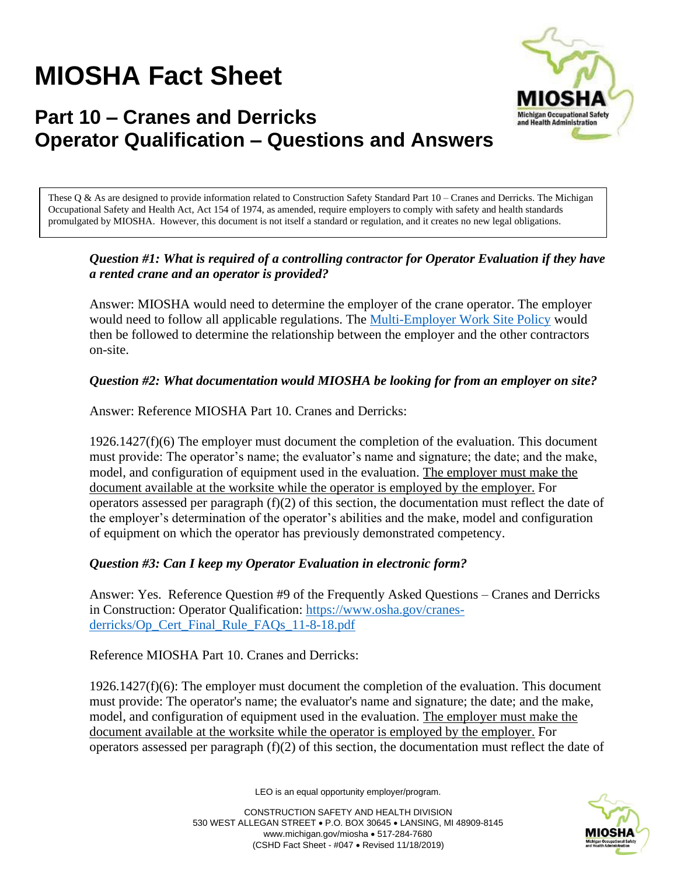# **MIOSHA Fact Sheet**



# **Part 10 – Cranes and Derricks Operator Qualification – Questions and Answers**

These Q & As are designed to provide information related to Construction Safety Standard Part 10 – Cranes and Derricks. The Michigan Occupational Safety and Health Act, Act 154 of 1974, as amended, require employers to comply with safety and health standards promulgated by MIOSHA. However, this document is not itself a standard or regulation, and it creates no new legal obligations.

#### *Question #1: What is required of a controlling contractor for Operator Evaluation if they have a rented crane and an operator is provided?*

Answer: MIOSHA would need to determine the employer of the crane operator. The employer would need to follow all applicable regulations. The [Multi-Employer Work Site Policy](https://adms.apps.lara.state.mi.us/File/ViewDmsDocument/12774) would then be followed to determine the relationship between the employer and the other contractors on-site.

## *Question #2: What documentation would MIOSHA be looking for from an employer on site?*

Answer: Reference MIOSHA Part 10. Cranes and Derricks:

 $1926.1427(f)(6)$  The employer must document the completion of the evaluation. This document must provide: The operator's name; the evaluator's name and signature; the date; and the make, model, and configuration of equipment used in the evaluation. The employer must make the document available at the worksite while the operator is employed by the employer. For operators assessed per paragraph  $(f)(2)$  of this section, the documentation must reflect the date of the employer's determination of the operator's abilities and the make, model and configuration of equipment on which the operator has previously demonstrated competency.

#### *Question #3: Can I keep my Operator Evaluation in electronic form?*

Answer: Yes. Reference Question #9 of the Frequently Asked Questions – Cranes and Derricks in Construction: Operator Qualification: [https://www.osha.gov/cranes](https://www.osha.gov/cranes-derricks/Op_Cert_Final_Rule_FAQs_11-8-18.pdf)[derricks/Op\\_Cert\\_Final\\_Rule\\_FAQs\\_11-8-18.pdf](https://www.osha.gov/cranes-derricks/Op_Cert_Final_Rule_FAQs_11-8-18.pdf)

Reference MIOSHA Part 10. Cranes and Derricks:

1926.1427(f)(6): The employer must document the completion of the evaluation. This document must provide: The operator's name; the evaluator's name and signature; the date; and the make, model, and configuration of equipment used in the evaluation. The employer must make the document available at the worksite while the operator is employed by the employer. For operators assessed per paragraph (f)(2) of this section, the documentation must reflect the date of

LEO is an equal opportunity employer/program.

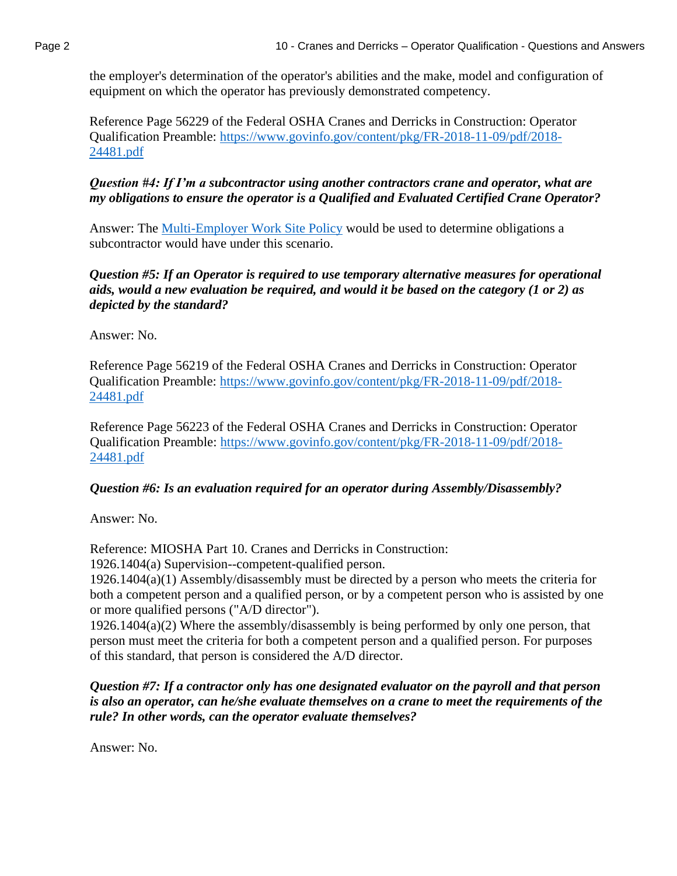the employer's determination of the operator's abilities and the make, model and configuration of equipment on which the operator has previously demonstrated competency.

Reference Page 56229 of the Federal OSHA Cranes and Derricks in Construction: Operator Qualification Preamble: [https://www.govinfo.gov/content/pkg/FR-2018-11-09/pdf/2018-](https://www.govinfo.gov/content/pkg/FR-2018-11-09/pdf/2018-24481.pdf) [24481.pdf](https://www.govinfo.gov/content/pkg/FR-2018-11-09/pdf/2018-24481.pdf)

*Question #4: If I'm a subcontractor using another contractors crane and operator, what are my obligations to ensure the operator is a Qualified and Evaluated Certified Crane Operator?* 

Answer: The [Multi-Employer Work Site Policy](https://adms.apps.lara.state.mi.us/File/ViewDmsDocument/12774) would be used to determine obligations a subcontractor would have under this scenario.

*Question #5: If an Operator is required to use temporary alternative measures for operational aids, would a new evaluation be required, and would it be based on the category (1 or 2) as depicted by the standard?* 

Answer: No.

Reference Page 56219 of the Federal OSHA Cranes and Derricks in Construction: Operator Qualification Preamble: [https://www.govinfo.gov/content/pkg/FR-2018-11-09/pdf/2018-](https://www.govinfo.gov/content/pkg/FR-2018-11-09/pdf/2018-24481.pdf) [24481.pdf](https://www.govinfo.gov/content/pkg/FR-2018-11-09/pdf/2018-24481.pdf)

Reference Page 56223 of the Federal OSHA Cranes and Derricks in Construction: Operator Qualification Preamble: [https://www.govinfo.gov/content/pkg/FR-2018-11-09/pdf/2018-](https://www.govinfo.gov/content/pkg/FR-2018-11-09/pdf/2018-24481.pdf) [24481.pdf](https://www.govinfo.gov/content/pkg/FR-2018-11-09/pdf/2018-24481.pdf)

#### *Question #6: Is an evaluation required for an operator during Assembly/Disassembly?*

Answer: No.

Reference: MIOSHA Part 10. Cranes and Derricks in Construction:

1926.1404(a) Supervision--competent-qualified person.

1926.1404(a)(1) Assembly/disassembly must be directed by a person who meets the criteria for both a competent person and a qualified person, or by a competent person who is assisted by one or more qualified persons ("A/D director").

1926.1404(a)(2) Where the assembly/disassembly is being performed by only one person, that person must meet the criteria for both a competent person and a qualified person. For purposes of this standard, that person is considered the A/D director.

*Question #7: If a contractor only has one designated evaluator on the payroll and that person is also an operator, can he/she evaluate themselves on a crane to meet the requirements of the rule? In other words, can the operator evaluate themselves?*

Answer: No.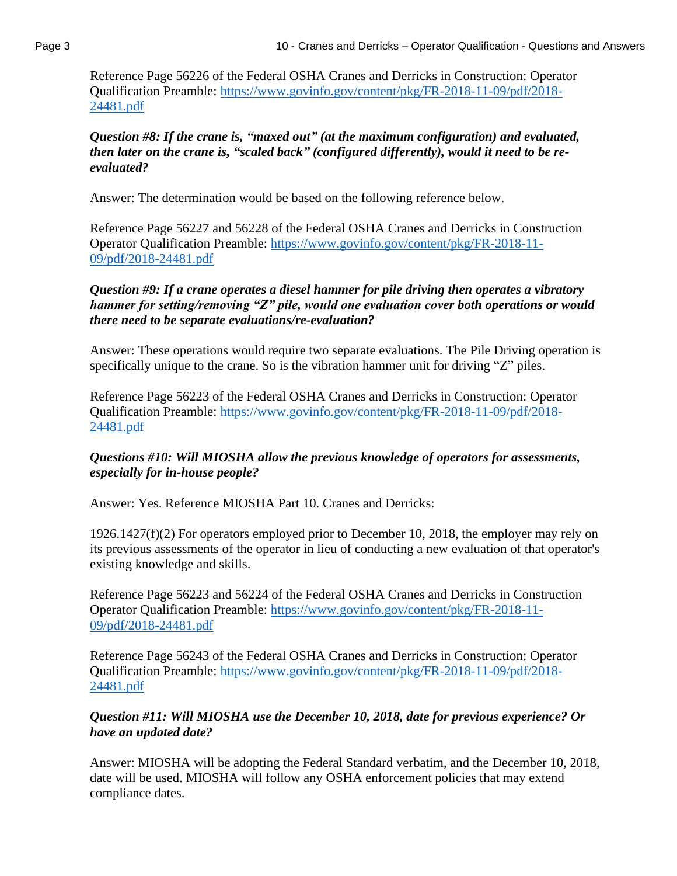Reference Page 56226 of the Federal OSHA Cranes and Derricks in Construction: Operator Qualification Preamble: [https://www.govinfo.gov/content/pkg/FR-2018-11-09/pdf/2018-](https://www.govinfo.gov/content/pkg/FR-2018-11-09/pdf/2018-24481.pdf) [24481.pdf](https://www.govinfo.gov/content/pkg/FR-2018-11-09/pdf/2018-24481.pdf)

#### *Question #8: If the crane is, "maxed out" (at the maximum configuration) and evaluated, then later on the crane is, "scaled back" (configured differently), would it need to be reevaluated?*

Answer: The determination would be based on the following reference below.

Reference Page 56227 and 56228 of the Federal OSHA Cranes and Derricks in Construction Operator Qualification Preamble: [https://www.govinfo.gov/content/pkg/FR-2018-11-](https://www.govinfo.gov/content/pkg/FR-2018-11-09/pdf/2018-24481.pdf) [09/pdf/2018-24481.pdf](https://www.govinfo.gov/content/pkg/FR-2018-11-09/pdf/2018-24481.pdf)

#### *Question #9: If a crane operates a diesel hammer for pile driving then operates a vibratory hammer for setting/removing "Z" pile, would one evaluation cover both operations or would there need to be separate evaluations/re-evaluation?*

Answer: These operations would require two separate evaluations. The Pile Driving operation is specifically unique to the crane. So is the vibration hammer unit for driving "Z" piles.

Reference Page 56223 of the Federal OSHA Cranes and Derricks in Construction: Operator Qualification Preamble: [https://www.govinfo.gov/content/pkg/FR-2018-11-09/pdf/2018-](https://www.govinfo.gov/content/pkg/FR-2018-11-09/pdf/2018-24481.pdf) [24481.pdf](https://www.govinfo.gov/content/pkg/FR-2018-11-09/pdf/2018-24481.pdf)

#### *Questions #10: Will MIOSHA allow the previous knowledge of operators for assessments, especially for in-house people?*

Answer: Yes. Reference MIOSHA Part 10. Cranes and Derricks:

1926.1427(f)(2) For operators employed prior to December 10, 2018, the employer may rely on its previous assessments of the operator in lieu of conducting a new evaluation of that operator's existing knowledge and skills.

Reference Page 56223 and 56224 of the Federal OSHA Cranes and Derricks in Construction Operator Qualification Preamble: [https://www.govinfo.gov/content/pkg/FR-2018-11-](https://www.govinfo.gov/content/pkg/FR-2018-11-09/pdf/2018-24481.pdf) [09/pdf/2018-24481.pdf](https://www.govinfo.gov/content/pkg/FR-2018-11-09/pdf/2018-24481.pdf)

Reference Page 56243 of the Federal OSHA Cranes and Derricks in Construction: Operator Qualification Preamble: [https://www.govinfo.gov/content/pkg/FR-2018-11-09/pdf/2018-](https://www.govinfo.gov/content/pkg/FR-2018-11-09/pdf/2018-24481.pdf) [24481.pdf](https://www.govinfo.gov/content/pkg/FR-2018-11-09/pdf/2018-24481.pdf)

## *Question #11: Will MIOSHA use the December 10, 2018, date for previous experience? Or have an updated date?*

Answer: MIOSHA will be adopting the Federal Standard verbatim, and the December 10, 2018, date will be used. MIOSHA will follow any OSHA enforcement policies that may extend compliance dates.